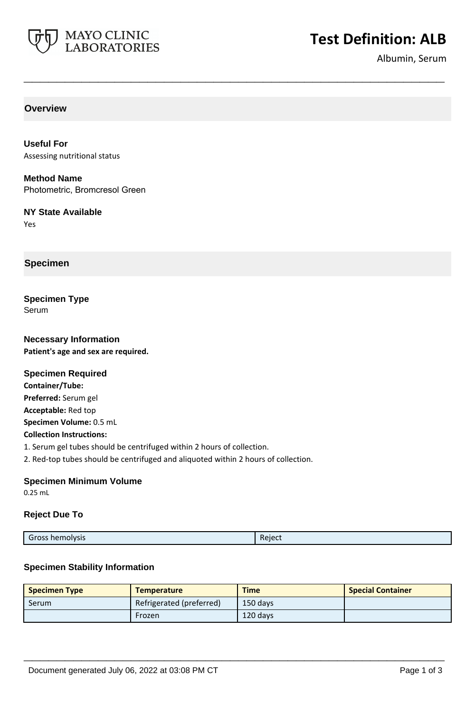

# **Test Definition: ALB**

Albumin, Serum

**Overview**

**Useful For** Assessing nutritional status

**Method Name** Photometric, Bromcresol Green

**NY State Available** Yes

**Specimen**

**Specimen Type** Serum

**Necessary Information Patient's age and sex are required.**

## **Specimen Required**

**Container/Tube: Preferred:** Serum gel **Acceptable:** Red top **Specimen Volume:** 0.5 mL **Collection Instructions:** 1. Serum gel tubes should be centrifuged within 2 hours of collection. 2. Red-top tubes should be centrifuged and aliquoted within 2 hours of collection.

## **Specimen Minimum Volume**

0.25 mL

#### **Reject Due To**

**\_\_\_\_\_\_\_\_\_\_\_\_\_\_\_\_\_\_\_\_\_\_\_\_\_\_\_\_\_\_\_\_\_\_\_\_\_\_\_\_\_\_\_\_\_\_\_\_\_\_\_**

#### **Specimen Stability Information**

| <b>Specimen Type</b> | <b>Temperature</b>       | <b>Time</b> | <b>Special Container</b> |
|----------------------|--------------------------|-------------|--------------------------|
| Serum                | Refrigerated (preferred) | 150 days    |                          |
|                      | Frozen                   | 120 days    |                          |

**\_\_\_\_\_\_\_\_\_\_\_\_\_\_\_\_\_\_\_\_\_\_\_\_\_\_\_\_\_\_\_\_\_\_\_\_\_\_\_\_\_\_\_\_\_\_\_\_\_\_\_**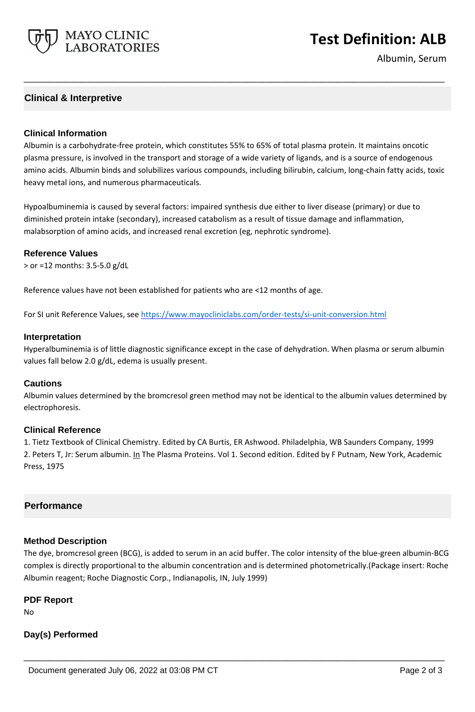

## **Test Definition: ALB**

Albumin, Serum

## **Clinical & Interpretive**

### **Clinical Information**

Albumin is a carbohydrate-free protein, which constitutes 55% to 65% of total plasma protein. It maintains oncotic plasma pressure, is involved in the transport and storage of a wide variety of ligands, and is a source of endogenous amino acids. Albumin binds and solubilizes various compounds, including bilirubin, calcium, long-chain fatty acids, toxic heavy metal ions, and numerous pharmaceuticals.

**\_\_\_\_\_\_\_\_\_\_\_\_\_\_\_\_\_\_\_\_\_\_\_\_\_\_\_\_\_\_\_\_\_\_\_\_\_\_\_\_\_\_\_\_\_\_\_\_\_\_\_**

Hypoalbuminemia is caused by several factors: impaired synthesis due either to liver disease (primary) or due to diminished protein intake (secondary), increased catabolism as a result of tissue damage and inflammation, malabsorption of amino acids, and increased renal excretion (eg, nephrotic syndrome).

#### **Reference Values**

> or =12 months: 3.5-5.0 g/dL

Reference values have not been established for patients who are <12 months of age.

For SI unit Reference Values, see<https://www.mayocliniclabs.com/order-tests/si-unit-conversion.html>

#### **Interpretation**

Hyperalbuminemia is of little diagnostic significance except in the case of dehydration. When plasma or serum albumin values fall below 2.0 g/dL, edema is usually present.

#### **Cautions**

Albumin values determined by the bromcresol green method may not be identical to the albumin values determined by electrophoresis.

#### **Clinical Reference**

1. Tietz Textbook of Clinical Chemistry. Edited by CA Burtis, ER Ashwood. Philadelphia, WB Saunders Company, 1999 2. Peters T, Jr: Serum albumin. In The Plasma Proteins. Vol 1. Second edition. Edited by F Putnam, New York, Academic Press, 1975

## **Performance**

## **Method Description**

The dye, bromcresol green (BCG), is added to serum in an acid buffer. The color intensity of the blue-green albumin-BCG complex is directly proportional to the albumin concentration and is determined photometrically.(Package insert: Roche Albumin reagent; Roche Diagnostic Corp., Indianapolis, IN, July 1999)

**\_\_\_\_\_\_\_\_\_\_\_\_\_\_\_\_\_\_\_\_\_\_\_\_\_\_\_\_\_\_\_\_\_\_\_\_\_\_\_\_\_\_\_\_\_\_\_\_\_\_\_**

#### **PDF Report**

No

## **Day(s) Performed**